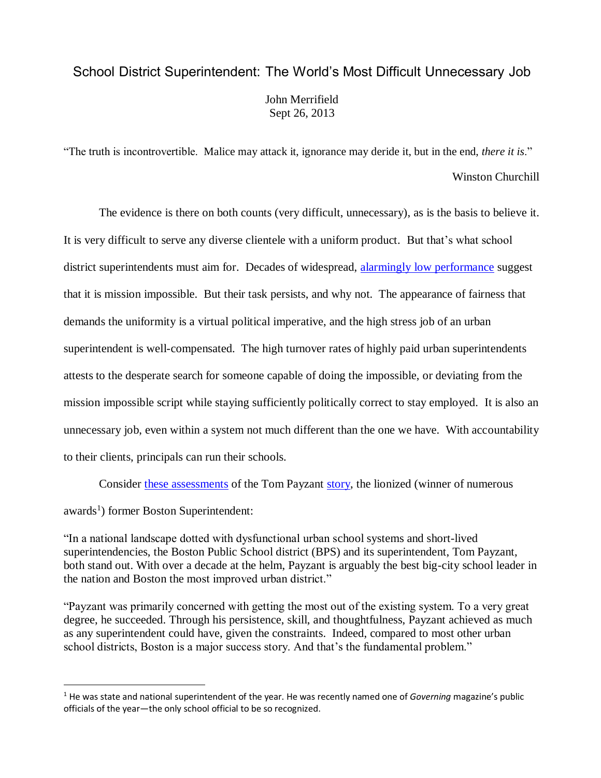## School District Superintendent: The World's Most Difficult Unnecessary Job John Merrifield Sept 26, 2013

"The truth is incontrovertible. Malice may attack it, ignorance may deride it, but in the end, *there it is*." Winston Churchill

The evidence is there on both counts (very difficult, unnecessary), as is the basis to believe it. It is very difficult to serve any diverse clientele with a uniform product. But that's what school district superintendents must aim for. Decades of widespread, [alarmingly low performance](http://www.schoolsystemreformstudies.net/wp-content/uploads/2016/10/Nation-at-Risk-Declarations.pdf) suggest that it is mission impossible. But their task persists, and why not. The appearance of fairness that demands the uniformity is a virtual political imperative, and the high stress job of an urban superintendent is well-compensated. The high turnover rates of highly paid urban superintendents attests to the desperate search for someone capable of doing the impossible, or deviating from the mission impossible script while staying sufficiently politically correct to stay employed. It is also an unnecessary job, even within a system not much different than the one we have. With accountability to their clients, principals can run their schools.

Consider these [assessments](http://educationnext.org/thebostonian/) of the Tom Payzant [story,](http://educationnext.org/thomas-payzant-union-politics-jack-jennings-high-school-keeping-christians-out/) the lionized (winner of numerous

awards<sup>1</sup>) former Boston Superintendent:

1

"In a national landscape dotted with dysfunctional urban school systems and short-lived superintendencies, the Boston Public School district (BPS) and its superintendent, Tom Payzant, both stand out. With over a decade at the helm, Payzant is arguably the best big-city school leader in the nation and Boston the most improved urban district."

"Payzant was primarily concerned with getting the most out of the existing system. To a very great degree, he succeeded. Through his persistence, skill, and thoughtfulness, Payzant achieved as much as any superintendent could have, given the constraints. Indeed, compared to most other urban school districts, Boston is a major success story. And that's the fundamental problem."

<sup>&</sup>lt;sup>1</sup> He was state and national superintendent of the year. He was recently named one of *Governing* magazine's public officials of the year—the only school official to be so recognized.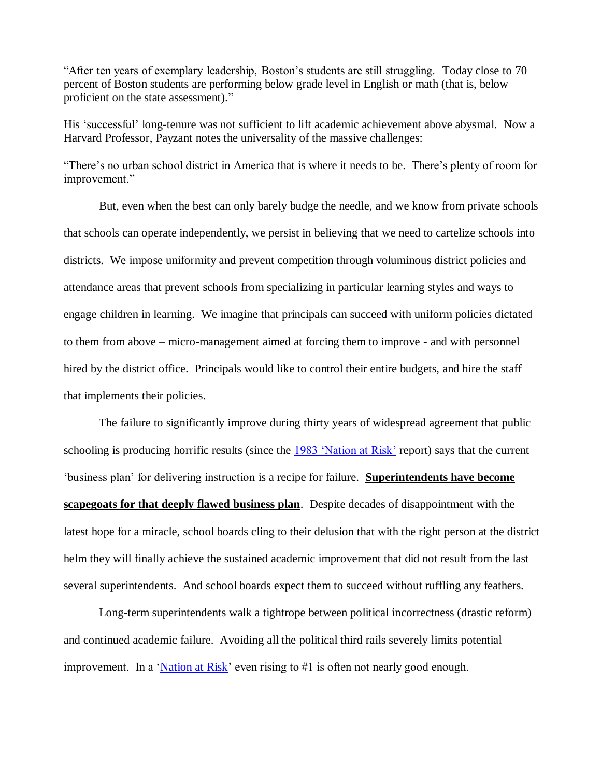"After ten years of exemplary leadership, Boston's students are still struggling. Today close to 70 percent of Boston students are performing below grade level in English or math (that is, below proficient on the state assessment)."

His 'successful' long-tenure was not sufficient to lift academic achievement above abysmal. Now a Harvard Professor, Payzant notes the universality of the massive challenges:

"There's no urban school district in America that is where it needs to be. There's plenty of room for improvement."

But, even when the best can only barely budge the needle, and we know from private schools that schools can operate independently, we persist in believing that we need to cartelize schools into districts. We impose uniformity and prevent competition through voluminous district policies and attendance areas that prevent schools from specializing in particular learning styles and ways to engage children in learning. We imagine that principals can succeed with uniform policies dictated to them from above – micro-management aimed at forcing them to improve - and with personnel hired by the district office. Principals would like to control their entire budgets, and hire the staff that implements their policies.

The failure to significantly improve during thirty years of widespread agreement that public schooling is producing horrific results (since the [1983 'Nation at Risk'](https://en.wikipedia.org/wiki/A_Nation_at_Risk) report) says that the current 'business plan' for delivering instruction is a recipe for failure. **Superintendents have become scapegoats for that deeply flawed business plan**. Despite decades of disappointment with the latest hope for a miracle, school boards cling to their delusion that with the right person at the district helm they will finally achieve the sustained academic improvement that did not result from the last several superintendents. And school boards expect them to succeed without ruffling any feathers.

Long-term superintendents walk a tightrope between political incorrectness (drastic reform) and continued academic failure. Avoiding all the political third rails severely limits potential improvement. In a ['Nation at Risk'](http://www.schoolsystemreformstudies.net/wp-content/uploads/2016/10/Nation-at-Risk-Declarations.pdf) even rising to #1 is often not nearly good enough.